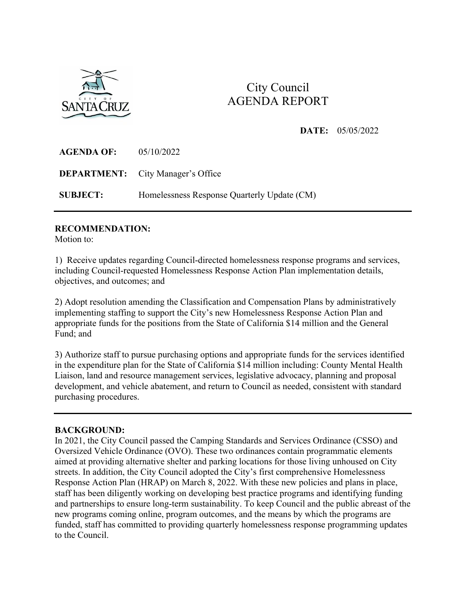

# City Council AGENDA REPORT

## **DATE:** 05/05/2022

| <b>AGENDA OF:</b> | 05/10/2022                                  |
|-------------------|---------------------------------------------|
|                   | <b>DEPARTMENT:</b> City Manager's Office    |
| <b>SUBJECT:</b>   | Homelessness Response Quarterly Update (CM) |

#### **RECOMMENDATION:**

Motion to:

1) Receive updates regarding Council-directed homelessness response programs and services, including Council-requested Homelessness Response Action Plan implementation details, objectives, and outcomes; and

2) Adopt resolution amending the Classification and Compensation Plans by administratively implementing staffing to support the City's new Homelessness Response Action Plan and appropriate funds for the positions from the State of California \$14 million and the General Fund; and

3) Authorize staff to pursue purchasing options and appropriate funds for the services identified in the expenditure plan for the State of California \$14 million including: County Mental Health Liaison, land and resource management services, legislative advocacy, planning and proposal development, and vehicle abatement, and return to Council as needed, consistent with standard purchasing procedures.

#### **BACKGROUND:**

In 2021, the City Council passed the Camping Standards and Services Ordinance (CSSO) and Oversized Vehicle Ordinance (OVO). These two ordinances contain programmatic elements aimed at providing alternative shelter and parking locations for those living unhoused on City streets. In addition, the City Council adopted the City's first comprehensive Homelessness Response Action Plan (HRAP) on March 8, 2022. With these new policies and plans in place, staff has been diligently working on developing best practice programs and identifying funding and partnerships to ensure long-term sustainability. To keep Council and the public abreast of the new programs coming online, program outcomes, and the means by which the programs are funded, staff has committed to providing quarterly homelessness response programming updates to the Council.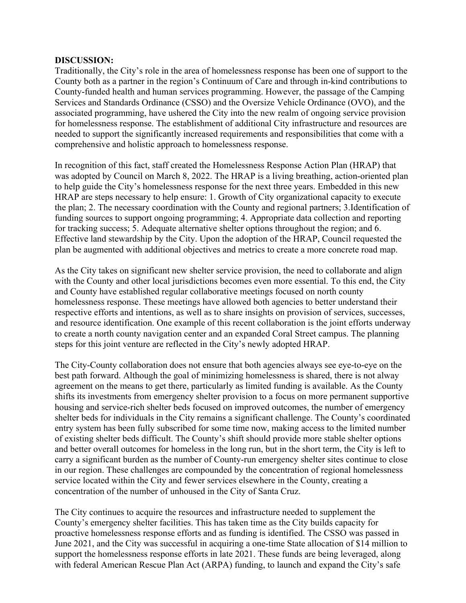#### **DISCUSSION:**

Traditionally, the City's role in the area of homelessness response has been one of support to the County both as a partner in the region's Continuum of Care and through in-kind contributions to County-funded health and human services programming. However, the passage of the Camping Services and Standards Ordinance (CSSO) and the Oversize Vehicle Ordinance (OVO), and the associated programming, have ushered the City into the new realm of ongoing service provision for homelessness response. The establishment of additional City infrastructure and resources are needed to support the significantly increased requirements and responsibilities that come with a comprehensive and holistic approach to homelessness response.

In recognition of this fact, staff created the Homelessness Response Action Plan (HRAP) that was adopted by Council on March 8, 2022. The HRAP is a living breathing, action-oriented plan to help guide the City's homelessness response for the next three years. Embedded in this new HRAP are steps necessary to help ensure: 1. Growth of City organizational capacity to execute the plan; 2. The necessary coordination with the County and regional partners; 3.Identification of funding sources to support ongoing programming; 4. Appropriate data collection and reporting for tracking success; 5. Adequate alternative shelter options throughout the region; and 6. Effective land stewardship by the City. Upon the adoption of the HRAP, Council requested the plan be augmented with additional objectives and metrics to create a more concrete road map.

As the City takes on significant new shelter service provision, the need to collaborate and align with the County and other local jurisdictions becomes even more essential. To this end, the City and County have established regular collaborative meetings focused on north county homelessness response. These meetings have allowed both agencies to better understand their respective efforts and intentions, as well as to share insights on provision of services, successes, and resource identification. One example of this recent collaboration is the joint efforts underway to create a north county navigation center and an expanded Coral Street campus. The planning steps for this joint venture are reflected in the City's newly adopted HRAP.

The City-County collaboration does not ensure that both agencies always see eye-to-eye on the best path forward. Although the goal of minimizing homelessness is shared, there is not alway agreement on the means to get there, particularly as limited funding is available. As the County shifts its investments from emergency shelter provision to a focus on more permanent supportive housing and service-rich shelter beds focused on improved outcomes, the number of emergency shelter beds for individuals in the City remains a significant challenge. The County's coordinated entry system has been fully subscribed for some time now, making access to the limited number of existing shelter beds difficult. The County's shift should provide more stable shelter options and better overall outcomes for homeless in the long run, but in the short term, the City is left to carry a significant burden as the number of County-run emergency shelter sites continue to close in our region. These challenges are compounded by the concentration of regional homelessness service located within the City and fewer services elsewhere in the County, creating a concentration of the number of unhoused in the City of Santa Cruz.

The City continues to acquire the resources and infrastructure needed to supplement the County's emergency shelter facilities. This has taken time as the City builds capacity for proactive homelessness response efforts and as funding is identified. The CSSO was passed in June 2021, and the City was successful in acquiring a one-time State allocation of \$14 million to support the homelessness response efforts in late 2021. These funds are being leveraged, along with federal American Rescue Plan Act (ARPA) funding, to launch and expand the City's safe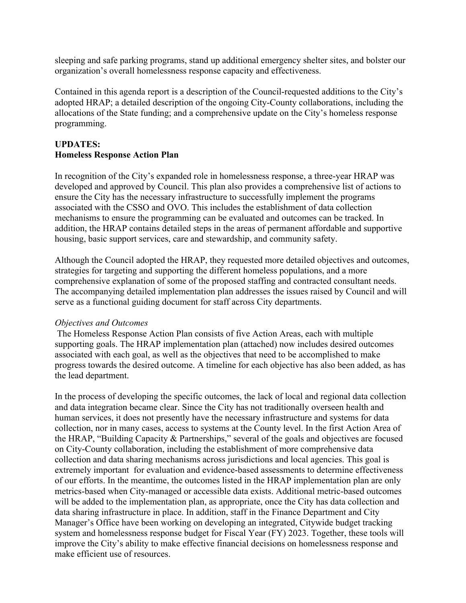sleeping and safe parking programs, stand up additional emergency shelter sites, and bolster our organization's overall homelessness response capacity and effectiveness.

Contained in this agenda report is a description of the Council-requested additions to the City's adopted HRAP; a detailed description of the ongoing City-County collaborations, including the allocations of the State funding; and a comprehensive update on the City's homeless response programming.

# **UPDATES: Homeless Response Action Plan**

In recognition of the City's expanded role in homelessness response, a three-year HRAP was developed and approved by Council. This plan also provides a comprehensive list of actions to ensure the City has the necessary infrastructure to successfully implement the programs associated with the CSSO and OVO. This includes the establishment of data collection mechanisms to ensure the programming can be evaluated and outcomes can be tracked. In addition, the HRAP contains detailed steps in the areas of permanent affordable and supportive housing, basic support services, care and stewardship, and community safety.

Although the Council adopted the HRAP, they requested more detailed objectives and outcomes, strategies for targeting and supporting the different homeless populations, and a more comprehensive explanation of some of the proposed staffing and contracted consultant needs. The accompanying detailed implementation plan addresses the issues raised by Council and will serve as a functional guiding document for staff across City departments.

#### *Objectives and Outcomes*

 The Homeless Response Action Plan consists of five Action Areas, each with multiple supporting goals. The HRAP implementation plan (attached) now includes desired outcomes associated with each goal, as well as the objectives that need to be accomplished to make progress towards the desired outcome. A timeline for each objective has also been added, as has the lead department.

In the process of developing the specific outcomes, the lack of local and regional data collection and data integration became clear. Since the City has not traditionally overseen health and human services, it does not presently have the necessary infrastructure and systems for data collection, nor in many cases, access to systems at the County level. In the first Action Area of the HRAP, "Building Capacity & Partnerships," several of the goals and objectives are focused on City-County collaboration, including the establishment of more comprehensive data collection and data sharing mechanisms across jurisdictions and local agencies. This goal is extremely important for evaluation and evidence-based assessments to determine effectiveness of our efforts. In the meantime, the outcomes listed in the HRAP implementation plan are only metrics-based when City-managed or accessible data exists. Additional metric-based outcomes will be added to the implementation plan, as appropriate, once the City has data collection and data sharing infrastructure in place. In addition, staff in the Finance Department and City Manager's Office have been working on developing an integrated, Citywide budget tracking system and homelessness response budget for Fiscal Year (FY) 2023. Together, these tools will improve the City's ability to make effective financial decisions on homelessness response and make efficient use of resources.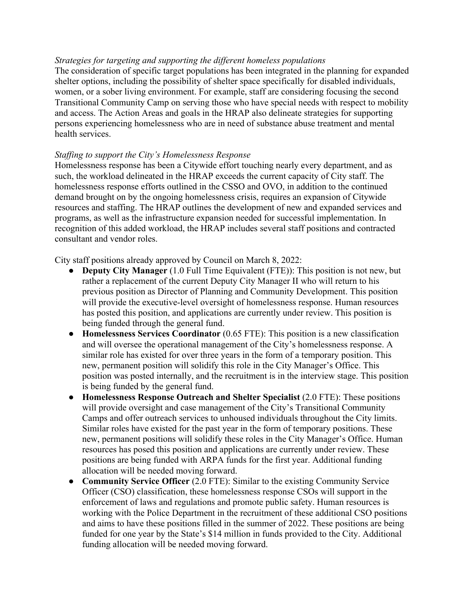#### *Strategies for targeting and supporting the different homeless populations*

The consideration of specific target populations has been integrated in the planning for expanded shelter options, including the possibility of shelter space specifically for disabled individuals, women, or a sober living environment. For example, staff are considering focusing the second Transitional Community Camp on serving those who have special needs with respect to mobility and access. The Action Areas and goals in the HRAP also delineate strategies for supporting persons experiencing homelessness who are in need of substance abuse treatment and mental health services.

## *Staffing to support the City's Homelessness Response*

Homelessness response has been a Citywide effort touching nearly every department, and as such, the workload delineated in the HRAP exceeds the current capacity of City staff. The homelessness response efforts outlined in the CSSO and OVO, in addition to the continued demand brought on by the ongoing homelessness crisis, requires an expansion of Citywide resources and staffing. The HRAP outlines the development of new and expanded services and programs, as well as the infrastructure expansion needed for successful implementation. In recognition of this added workload, the HRAP includes several staff positions and contracted consultant and vendor roles.

City staff positions already approved by Council on March 8, 2022:

- **Deputy City Manager** (1.0 Full Time Equivalent (FTE)): This position is not new, but rather a replacement of the current Deputy City Manager II who will return to his previous position as Director of Planning and Community Development. This position will provide the executive-level oversight of homelessness response. Human resources has posted this position, and applications are currently under review. This position is being funded through the general fund.
- **Homelessness Services Coordinator** (0.65 FTE): This position is a new classification and will oversee the operational management of the City's homelessness response. A similar role has existed for over three years in the form of a temporary position. This new, permanent position will solidify this role in the City Manager's Office. This position was posted internally, and the recruitment is in the interview stage. This position is being funded by the general fund.
- **Homelessness Response Outreach and Shelter Specialist** (2.0 FTE): These positions will provide oversight and case management of the City's Transitional Community Camps and offer outreach services to unhoused individuals throughout the City limits. Similar roles have existed for the past year in the form of temporary positions. These new, permanent positions will solidify these roles in the City Manager's Office. Human resources has posed this position and applications are currently under review. These positions are being funded with ARPA funds for the first year. Additional funding allocation will be needed moving forward.
- **Community Service Officer** (2.0 FTE): Similar to the existing Community Service Officer (CSO) classification, these homelessness response CSOs will support in the enforcement of laws and regulations and promote public safety. Human resources is working with the Police Department in the recruitment of these additional CSO positions and aims to have these positions filled in the summer of 2022. These positions are being funded for one year by the State's \$14 million in funds provided to the City. Additional funding allocation will be needed moving forward.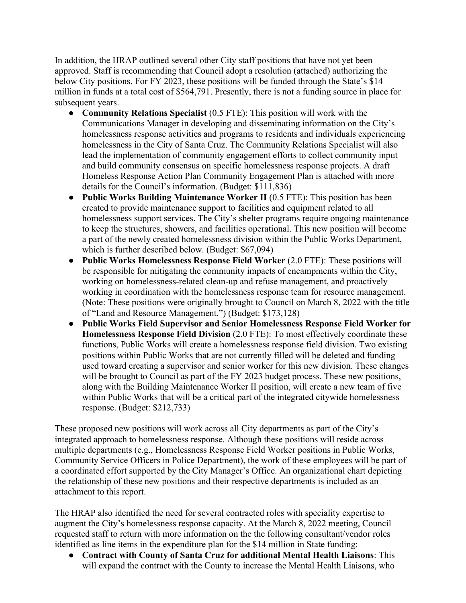In addition, the HRAP outlined several other City staff positions that have not yet been approved. Staff is recommending that Council adopt a resolution (attached) authorizing the below City positions. For FY 2023, these positions will be funded through the State's \$14 million in funds at a total cost of \$564,791. Presently, there is not a funding source in place for subsequent years.

- **Community Relations Specialist** (0.5 FTE): This position will work with the Communications Manager in developing and disseminating information on the City's homelessness response activities and programs to residents and individuals experiencing homelessness in the City of Santa Cruz. The Community Relations Specialist will also lead the implementation of community engagement efforts to collect community input and build community consensus on specific homelessness response projects. A draft Homeless Response Action Plan Community Engagement Plan is attached with more details for the Council's information. (Budget: \$111,836)
- **Public Works Building Maintenance Worker II** (0.5 FTE): This position has been created to provide maintenance support to facilities and equipment related to all homelessness support services. The City's shelter programs require ongoing maintenance to keep the structures, showers, and facilities operational. This new position will become a part of the newly created homelessness division within the Public Works Department, which is further described below. (Budget: \$67,094)
- **Public Works Homelessness Response Field Worker** (2.0 FTE): These positions will be responsible for mitigating the community impacts of encampments within the City, working on homelessness-related clean-up and refuse management, and proactively working in coordination with the homelessness response team for resource management. (Note: These positions were originally brought to Council on March 8, 2022 with the title of "Land and Resource Management.") (Budget: \$173,128)
- **Public Works Field Supervisor and Senior Homelessness Response Field Worker for Homelessness Response Field Division** (2.0 FTE): To most effectively coordinate these functions, Public Works will create a homelessness response field division. Two existing positions within Public Works that are not currently filled will be deleted and funding used toward creating a supervisor and senior worker for this new division. These changes will be brought to Council as part of the FY 2023 budget process. These new positions, along with the Building Maintenance Worker II position, will create a new team of five within Public Works that will be a critical part of the integrated citywide homelessness response. (Budget: \$212,733)

These proposed new positions will work across all City departments as part of the City's integrated approach to homelessness response. Although these positions will reside across multiple departments (e.g., Homelessness Response Field Worker positions in Public Works, Community Service Officers in Police Department), the work of these employees will be part of a coordinated effort supported by the City Manager's Office. An organizational chart depicting the relationship of these new positions and their respective departments is included as an attachment to this report.

The HRAP also identified the need for several contracted roles with speciality expertise to augment the City's homelessness response capacity. At the March 8, 2022 meeting, Council requested staff to return with more information on the the following consultant/vendor roles identified as line items in the expenditure plan for the \$14 million in State funding:

● **Contract with County of Santa Cruz for additional Mental Health Liaisons**: This will expand the contract with the County to increase the Mental Health Liaisons, who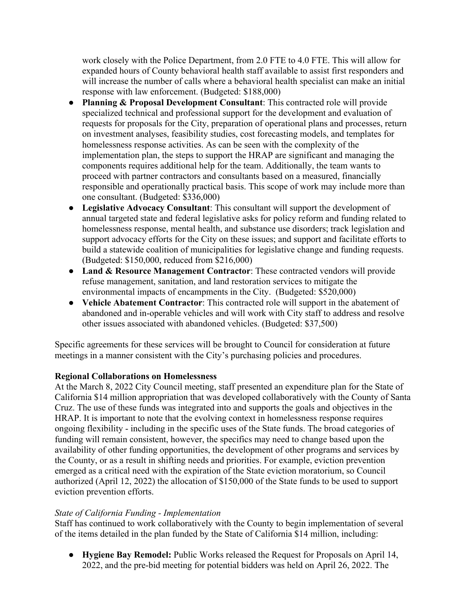work closely with the Police Department, from 2.0 FTE to 4.0 FTE. This will allow for expanded hours of County behavioral health staff available to assist first responders and will increase the number of calls where a behavioral health specialist can make an initial response with law enforcement. (Budgeted: \$188,000)

- **Planning & Proposal Development Consultant**: This contracted role will provide specialized technical and professional support for the development and evaluation of requests for proposals for the City, preparation of operational plans and processes, return on investment analyses, feasibility studies, cost forecasting models, and templates for homelessness response activities. As can be seen with the complexity of the implementation plan, the steps to support the HRAP are significant and managing the components requires additional help for the team. Additionally, the team wants to proceed with partner contractors and consultants based on a measured, financially responsible and operationally practical basis. This scope of work may include more than one consultant. (Budgeted: \$336,000)
- **Legislative Advocacy Consultant**: This consultant will support the development of annual targeted state and federal legislative asks for policy reform and funding related to homelessness response, mental health, and substance use disorders; track legislation and support advocacy efforts for the City on these issues; and support and facilitate efforts to build a statewide coalition of municipalities for legislative change and funding requests. (Budgeted: \$150,000, reduced from \$216,000)
- **Land & Resource Management Contractor**: These contracted vendors will provide refuse management, sanitation, and land restoration services to mitigate the environmental impacts of encampments in the City. (Budgeted: \$520,000)
- **Vehicle Abatement Contractor**: This contracted role will support in the abatement of abandoned and in-operable vehicles and will work with City staff to address and resolve other issues associated with abandoned vehicles. (Budgeted: \$37,500)

Specific agreements for these services will be brought to Council for consideration at future meetings in a manner consistent with the City's purchasing policies and procedures.

# **Regional Collaborations on Homelessness**

At the March 8, 2022 City Council meeting, staff presented an expenditure plan for the State of California \$14 million appropriation that was developed collaboratively with the County of Santa Cruz. The use of these funds was integrated into and supports the goals and objectives in the HRAP. It is important to note that the evolving context in homelessness response requires ongoing flexibility - including in the specific uses of the State funds. The broad categories of funding will remain consistent, however, the specifics may need to change based upon the availability of other funding opportunities, the development of other programs and services by the County, or as a result in shifting needs and priorities. For example, eviction prevention emerged as a critical need with the expiration of the State eviction moratorium, so Council authorized (April 12, 2022) the allocation of \$150,000 of the State funds to be used to support eviction prevention efforts.

#### *State of California Funding - Implementation*

Staff has continued to work collaboratively with the County to begin implementation of several of the items detailed in the plan funded by the State of California \$14 million, including:

● **Hygiene Bay Remodel:** Public Works released the Request for Proposals on April 14, 2022, and the pre-bid meeting for potential bidders was held on April 26, 2022. The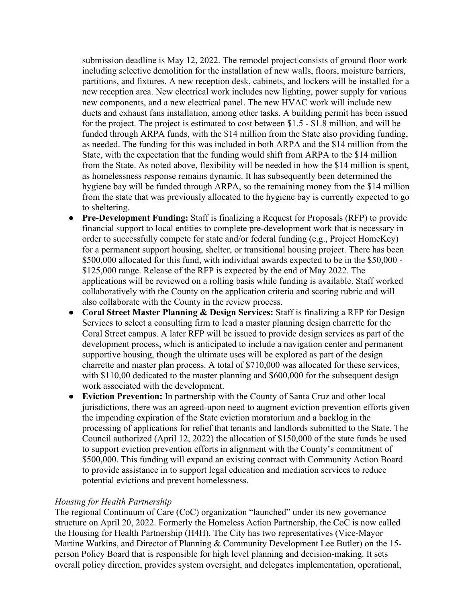submission deadline is May 12, 2022. The remodel project consists of ground floor work including selective demolition for the installation of new walls, floors, moisture barriers, partitions, and fixtures. A new reception desk, cabinets, and lockers will be installed for a new reception area. New electrical work includes new lighting, power supply for various new components, and a new electrical panel. The new HVAC work will include new ducts and exhaust fans installation, among other tasks. A building permit has been issued for the project. The project is estimated to cost between \$1.5 - \$1.8 million, and will be funded through ARPA funds, with the \$14 million from the State also providing funding, as needed. The funding for this was included in both ARPA and the \$14 million from the State, with the expectation that the funding would shift from ARPA to the \$14 million from the State. As noted above, flexibility will be needed in how the \$14 million is spent, as homelessness response remains dynamic. It has subsequently been determined the hygiene bay will be funded through ARPA, so the remaining money from the \$14 million from the state that was previously allocated to the hygiene bay is currently expected to go to sheltering.

- **Pre-Development Funding:** Staff is finalizing a Request for Proposals (RFP) to provide financial support to local entities to complete pre-development work that is necessary in order to successfully compete for state and/or federal funding (e.g., Project HomeKey) for a permanent support housing, shelter, or transitional housing project. There has been \$500,000 allocated for this fund, with individual awards expected to be in the \$50,000 - \$125,000 range. Release of the RFP is expected by the end of May 2022. The applications will be reviewed on a rolling basis while funding is available. Staff worked collaboratively with the County on the application criteria and scoring rubric and will also collaborate with the County in the review process.
- **Coral Street Master Planning & Design Services:** Staff is finalizing a RFP for Design Services to select a consulting firm to lead a master planning design charrette for the Coral Street campus. A later RFP will be issued to provide design services as part of the development process, which is anticipated to include a navigation center and permanent supportive housing, though the ultimate uses will be explored as part of the design charrette and master plan process. A total of \$710,000 was allocated for these services, with \$110,00 dedicated to the master planning and \$600,000 for the subsequent design work associated with the development.
- **Eviction Prevention:** In partnership with the County of Santa Cruz and other local jurisdictions, there was an agreed-upon need to augment eviction prevention efforts given the impending expiration of the State eviction moratorium and a backlog in the processing of applications for relief that tenants and landlords submitted to the State. The Council authorized (April 12, 2022) the allocation of \$150,000 of the state funds be used to support eviction prevention efforts in alignment with the County's commitment of \$500,000. This funding will expand an existing contract with Community Action Board to provide assistance in to support legal education and mediation services to reduce potential evictions and prevent homelessness.

#### *Housing for Health Partnership*

The regional Continuum of Care (CoC) organization "launched" under its new governance structure on April 20, 2022. Formerly the Homeless Action Partnership, the CoC is now called the Housing for Health Partnership (H4H). The City has two representatives (Vice-Mayor Martine Watkins, and Director of Planning & Community Development Lee Butler) on the 15 person Policy Board that is responsible for high level planning and decision-making. It sets overall policy direction, provides system oversight, and delegates implementation, operational,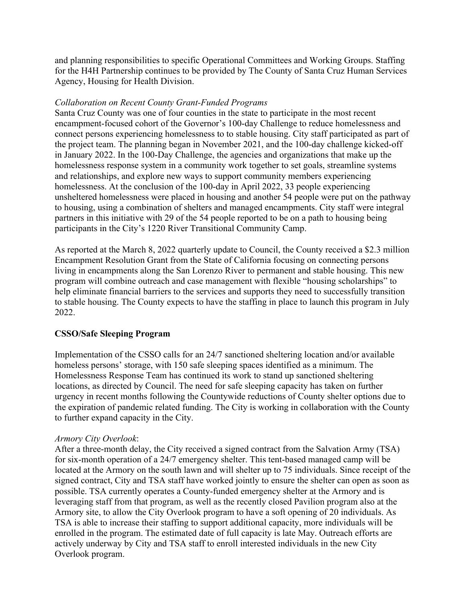and planning responsibilities to specific Operational Committees and Working Groups. Staffing for the H4H Partnership continues to be provided by The County of Santa Cruz Human Services Agency, Housing for Health Division.

#### *Collaboration on Recent County Grant-Funded Programs*

Santa Cruz County was one of four counties in the state to participate in the most recent encampment-focused cohort of the Governor's 100-day Challenge to reduce homelessness and connect persons experiencing homelessness to to stable housing. City staff participated as part of the project team. The planning began in November 2021, and the 100-day challenge kicked-off in January 2022. In the 100-Day Challenge, the agencies and organizations that make up the homelessness response system in a community work together to set goals, streamline systems and relationships, and explore new ways to support community members experiencing homelessness. At the conclusion of the 100-day in April 2022, 33 people experiencing unsheltered homelessness were placed in housing and another 54 people were put on the pathway to housing, using a combination of shelters and managed encampments. City staff were integral partners in this initiative with 29 of the 54 people reported to be on a path to housing being participants in the City's 1220 River Transitional Community Camp.

As reported at the March 8, 2022 quarterly update to Council, the County received a \$2.3 million Encampment Resolution Grant from the State of California focusing on connecting persons living in encampments along the San Lorenzo River to permanent and stable housing. This new program will combine outreach and case management with flexible "housing scholarships" to help eliminate financial barriers to the services and supports they need to successfully transition to stable housing. The County expects to have the staffing in place to launch this program in July 2022.

#### **CSSO/Safe Sleeping Program**

Implementation of the CSSO calls for an 24/7 sanctioned sheltering location and/or available homeless persons' storage, with 150 safe sleeping spaces identified as a minimum. The Homelessness Response Team has continued its work to stand up sanctioned sheltering locations, as directed by Council. The need for safe sleeping capacity has taken on further urgency in recent months following the Countywide reductions of County shelter options due to the expiration of pandemic related funding. The City is working in collaboration with the County to further expand capacity in the City.

#### *Armory City Overlook*:

After a three-month delay, the City received a signed contract from the Salvation Army (TSA) for six-month operation of a 24/7 emergency shelter. This tent-based managed camp will be located at the Armory on the south lawn and will shelter up to 75 individuals. Since receipt of the signed contract, City and TSA staff have worked jointly to ensure the shelter can open as soon as possible. TSA currently operates a County-funded emergency shelter at the Armory and is leveraging staff from that program, as well as the recently closed Pavilion program also at the Armory site, to allow the City Overlook program to have a soft opening of 20 individuals. As TSA is able to increase their staffing to support additional capacity, more individuals will be enrolled in the program. The estimated date of full capacity is late May. Outreach efforts are actively underway by City and TSA staff to enroll interested individuals in the new City Overlook program.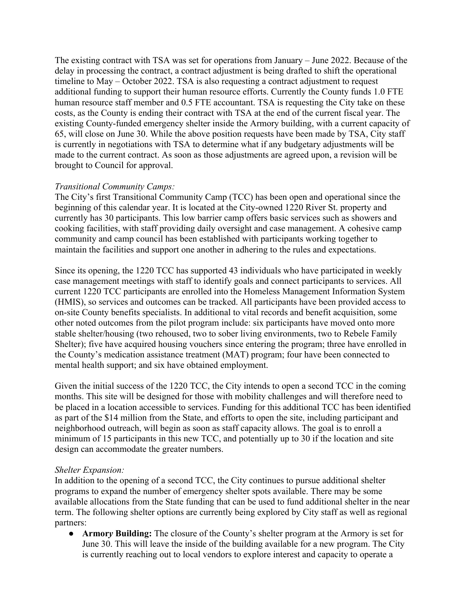The existing contract with TSA was set for operations from January – June 2022. Because of the delay in processing the contract, a contract adjustment is being drafted to shift the operational timeline to May – October 2022. TSA is also requesting a contract adjustment to request additional funding to support their human resource efforts. Currently the County funds 1.0 FTE human resource staff member and  $0.5$  FTE accountant. TSA is requesting the City take on these costs, as the County is ending their contract with TSA at the end of the current fiscal year. The existing County-funded emergency shelter inside the Armory building, with a current capacity of 65, will close on June 30. While the above position requests have been made by TSA, City staff is currently in negotiations with TSA to determine what if any budgetary adjustments will be made to the current contract. As soon as those adjustments are agreed upon, a revision will be brought to Council for approval.

## *Transitional Community Camps:*

The City's first Transitional Community Camp (TCC) has been open and operational since the beginning of this calendar year. It is located at the City-owned 1220 River St. property and currently has 30 participants. This low barrier camp offers basic services such as showers and cooking facilities, with staff providing daily oversight and case management. A cohesive camp community and camp council has been established with participants working together to maintain the facilities and support one another in adhering to the rules and expectations.

Since its opening, the 1220 TCC has supported 43 individuals who have participated in weekly case management meetings with staff to identify goals and connect participants to services. All current 1220 TCC participants are enrolled into the Homeless Management Information System (HMIS), so services and outcomes can be tracked. All participants have been provided access to on-site County benefits specialists. In additional to vital records and benefit acquisition, some other noted outcomes from the pilot program include: six participants have moved onto more stable shelter/housing (two rehoused, two to sober living environments, two to Rebele Family Shelter); five have acquired housing vouchers since entering the program; three have enrolled in the County's medication assistance treatment (MAT) program; four have been connected to mental health support; and six have obtained employment.

Given the initial success of the 1220 TCC, the City intends to open a second TCC in the coming months. This site will be designed for those with mobility challenges and will therefore need to be placed in a location accessible to services. Funding for this additional TCC has been identified as part of the \$14 million from the State, and efforts to open the site, including participant and neighborhood outreach, will begin as soon as staff capacity allows. The goal is to enroll a minimum of 15 participants in this new TCC, and potentially up to 30 if the location and site design can accommodate the greater numbers.

#### *Shelter Expansion:*

In addition to the opening of a second TCC, the City continues to pursue additional shelter programs to expand the number of emergency shelter spots available. There may be some available allocations from the State funding that can be used to fund additional shelter in the near term. The following shelter options are currently being explored by City staff as well as regional partners:

● **Armor***y* **Building:** The closure of the County's shelter program at the Armory is set for June 30. This will leave the inside of the building available for a new program. The City is currently reaching out to local vendors to explore interest and capacity to operate a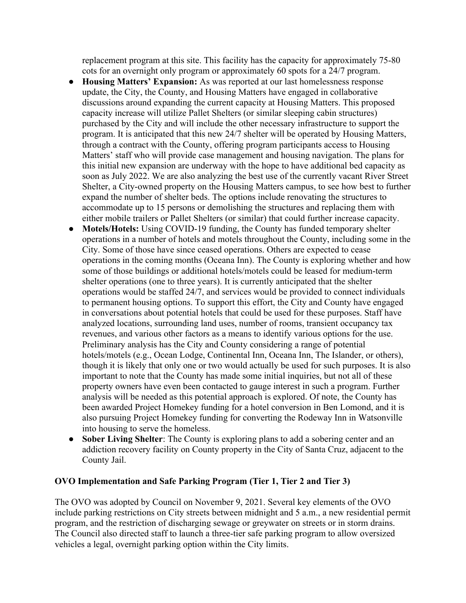replacement program at this site. This facility has the capacity for approximately 75-80 cots for an overnight only program or approximately 60 spots for a 24/7 program.

- **Housing Matters' Expansion:** As was reported at our last homelessness response update, the City, the County, and Housing Matters have engaged in collaborative discussions around expanding the current capacity at Housing Matters. This proposed capacity increase will utilize Pallet Shelters (or similar sleeping cabin structures) purchased by the City and will include the other necessary infrastructure to support the program. It is anticipated that this new 24/7 shelter will be operated by Housing Matters, through a contract with the County, offering program participants access to Housing Matters' staff who will provide case management and housing navigation. The plans for this initial new expansion are underway with the hope to have additional bed capacity as soon as July 2022. We are also analyzing the best use of the currently vacant River Street Shelter, a City-owned property on the Housing Matters campus, to see how best to further expand the number of shelter beds. The options include renovating the structures to accommodate up to 15 persons or demolishing the structures and replacing them with either mobile trailers or Pallet Shelters (or similar) that could further increase capacity.
- **Motels/Hotels:** Using COVID-19 funding, the County has funded temporary shelter operations in a number of hotels and motels throughout the County, including some in the City. Some of those have since ceased operations. Others are expected to cease operations in the coming months (Oceana Inn). The County is exploring whether and how some of those buildings or additional hotels/motels could be leased for medium-term shelter operations (one to three years). It is currently anticipated that the shelter operations would be staffed 24/7, and services would be provided to connect individuals to permanent housing options. To support this effort, the City and County have engaged in conversations about potential hotels that could be used for these purposes. Staff have analyzed locations, surrounding land uses, number of rooms, transient occupancy tax revenues, and various other factors as a means to identify various options for the use. Preliminary analysis has the City and County considering a range of potential hotels/motels (e.g., Ocean Lodge, Continental Inn, Oceana Inn, The Islander, or others), though it is likely that only one or two would actually be used for such purposes. It is also important to note that the County has made some initial inquiries, but not all of these property owners have even been contacted to gauge interest in such a program. Further analysis will be needed as this potential approach is explored. Of note, the County has been awarded Project Homekey funding for a hotel conversion in Ben Lomond, and it is also pursuing Project Homekey funding for converting the Rodeway Inn in Watsonville into housing to serve the homeless.
- **Sober Living Shelter**: The County is exploring plans to add a sobering center and an addiction recovery facility on County property in the City of Santa Cruz, adjacent to the County Jail.

#### **OVO Implementation and Safe Parking Program (Tier 1, Tier 2 and Tier 3)**

The OVO was adopted by Council on November 9, 2021. Several key elements of the OVO include parking restrictions on City streets between midnight and 5 a.m., a new residential permit program, and the restriction of discharging sewage or greywater on streets or in storm drains. The Council also directed staff to launch a three-tier safe parking program to allow oversized vehicles a legal, overnight parking option within the City limits.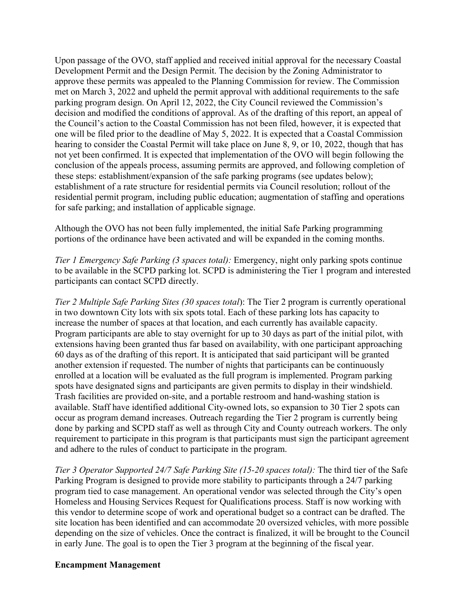Upon passage of the OVO, staff applied and received initial approval for the necessary Coastal Development Permit and the Design Permit. The decision by the Zoning Administrator to approve these permits was appealed to the Planning Commission for review. The Commission met on March 3, 2022 and upheld the permit approval with additional requirements to the safe parking program design. On April 12, 2022, the City Council reviewed the Commission's decision and modified the conditions of approval. As of the drafting of this report, an appeal of the Council's action to the Coastal Commission has not been filed, however, it is expected that one will be filed prior to the deadline of May 5, 2022. It is expected that a Coastal Commission hearing to consider the Coastal Permit will take place on June 8, 9, or 10, 2022, though that has not yet been confirmed. It is expected that implementation of the OVO will begin following the conclusion of the appeals process, assuming permits are approved, and following completion of these steps: establishment/expansion of the safe parking programs (see updates below); establishment of a rate structure for residential permits via Council resolution; rollout of the residential permit program, including public education; augmentation of staffing and operations for safe parking; and installation of applicable signage.

Although the OVO has not been fully implemented, the initial Safe Parking programming portions of the ordinance have been activated and will be expanded in the coming months.

*Tier 1 Emergency Safe Parking (3 spaces total):* Emergency, night only parking spots continue to be available in the SCPD parking lot. SCPD is administering the Tier 1 program and interested participants can contact SCPD directly.

*Tier 2 Multiple Safe Parking Sites (30 spaces total*): The Tier 2 program is currently operational in two downtown City lots with six spots total. Each of these parking lots has capacity to increase the number of spaces at that location, and each currently has available capacity. Program participants are able to stay overnight for up to 30 days as part of the initial pilot, with extensions having been granted thus far based on availability, with one participant approaching 60 days as of the drafting of this report. It is anticipated that said participant will be granted another extension if requested. The number of nights that participants can be continuously enrolled at a location will be evaluated as the full program is implemented. Program parking spots have designated signs and participants are given permits to display in their windshield. Trash facilities are provided on-site, and a portable restroom and hand-washing station is available. Staff have identified additional City-owned lots, so expansion to 30 Tier 2 spots can occur as program demand increases. Outreach regarding the Tier 2 program is currently being done by parking and SCPD staff as well as through City and County outreach workers. The only requirement to participate in this program is that participants must sign the participant agreement and adhere to the rules of conduct to participate in the program.

*Tier 3 Operator Supported 24/7 Safe Parking Site (15-20 spaces total):* The third tier of the Safe Parking Program is designed to provide more stability to participants through a 24/7 parking program tied to case management. An operational vendor was selected through the City's open Homeless and Housing Services Request for Qualifications process. Staff is now working with this vendor to determine scope of work and operational budget so a contract can be drafted. The site location has been identified and can accommodate 20 oversized vehicles, with more possible depending on the size of vehicles. Once the contract is finalized, it will be brought to the Council in early June. The goal is to open the Tier 3 program at the beginning of the fiscal year.

#### **Encampment Management**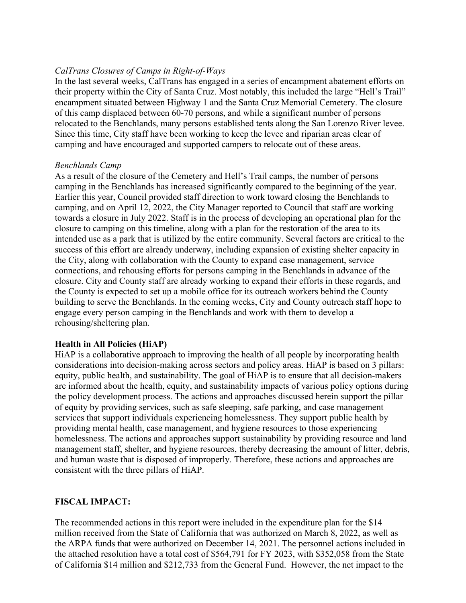## *CalTrans Closures of Camps in Right-of-Ways*

In the last several weeks, CalTrans has engaged in a series of encampment abatement efforts on their property within the City of Santa Cruz. Most notably, this included the large "Hell's Trail" encampment situated between Highway 1 and the Santa Cruz Memorial Cemetery. The closure of this camp displaced between 60-70 persons, and while a significant number of persons relocated to the Benchlands, many persons established tents along the San Lorenzo River levee. Since this time, City staff have been working to keep the levee and riparian areas clear of camping and have encouraged and supported campers to relocate out of these areas.

#### *Benchlands Camp*

As a result of the closure of the Cemetery and Hell's Trail camps, the number of persons camping in the Benchlands has increased significantly compared to the beginning of the year. Earlier this year, Council provided staff direction to work toward closing the Benchlands to camping, and on April 12, 2022, the City Manager reported to Council that staff are working towards a closure in July 2022. Staff is in the process of developing an operational plan for the closure to camping on this timeline, along with a plan for the restoration of the area to its intended use as a park that is utilized by the entire community. Several factors are critical to the success of this effort are already underway, including expansion of existing shelter capacity in the City, along with collaboration with the County to expand case management, service connections, and rehousing efforts for persons camping in the Benchlands in advance of the closure. City and County staff are already working to expand their efforts in these regards, and the County is expected to set up a mobile office for its outreach workers behind the County building to serve the Benchlands. In the coming weeks, City and County outreach staff hope to engage every person camping in the Benchlands and work with them to develop a rehousing/sheltering plan.

#### **Health in All Policies (HiAP)**

HiAP is a collaborative approach to improving the health of all people by incorporating health considerations into decision-making across sectors and policy areas. HiAP is based on 3 pillars: equity, public health, and sustainability. The goal of HiAP is to ensure that all decision-makers are informed about the health, equity, and sustainability impacts of various policy options during the policy development process. The actions and approaches discussed herein support the pillar of equity by providing services, such as safe sleeping, safe parking, and case management services that support individuals experiencing homelessness. They support public health by providing mental health, case management, and hygiene resources to those experiencing homelessness. The actions and approaches support sustainability by providing resource and land management staff, shelter, and hygiene resources, thereby decreasing the amount of litter, debris, and human waste that is disposed of improperly. Therefore, these actions and approaches are consistent with the three pillars of HiAP.

#### **FISCAL IMPACT:**

The recommended actions in this report were included in the expenditure plan for the \$14 million received from the State of California that was authorized on March 8, 2022, as well as the ARPA funds that were authorized on December 14, 2021. The personnel actions included in the attached resolution have a total cost of \$564,791 for FY 2023, with \$352,058 from the State of California \$14 million and \$212,733 from the General Fund. However, the net impact to the